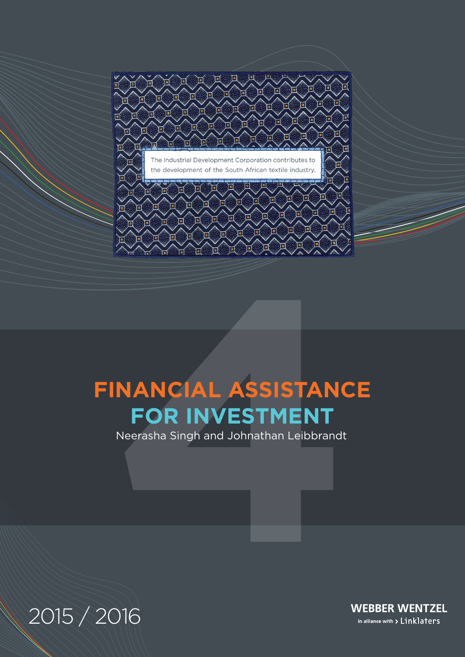

# **NANCIAL ASSISTANC<br>FOR INVESTMENT**<br>Neerasha Singh and Johnathan Leibbrandt<br>1<br>)16 **FINANCIAL ASSISTANCE FOR INVESTMENT**

Neerasha Singh and Johnathan Leibbrandt

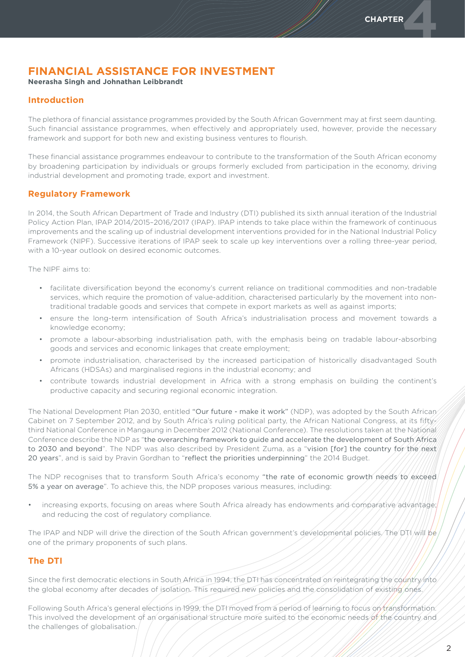# **FINANCIAL ASSISTANCE FOR INVESTMENT**

**Neerasha Singh and Johnathan Leibbrandt**

# **Introduction**

The plethora of financial assistance programmes provided by the South African Government may at first seem daunting. Such financial assistance programmes, when effectively and appropriately used, however, provide the necessary framework and support for both new and existing business ventures to flourish.

These financial assistance programmes endeavour to contribute to the transformation of the South African economy by broadening participation by individuals or groups formerly excluded from participation in the economy, driving industrial development and promoting trade, export and investment.

# **Regulatory Framework**

In 2014, the South African Department of Trade and Industry (DTI) published its sixth annual iteration of the Industrial Policy Action Plan, IPAP 2014/2015–2016/2017 (IPAP). IPAP intends to take place within the framework of continuous improvements and the scaling up of industrial development interventions provided for in the National Industrial Policy Framework (NIPF). Successive iterations of IPAP seek to scale up key interventions over a rolling three-year period, with a 10-year outlook on desired economic outcomes.

The NIPF aims to:

- facilitate diversification beyond the economy's current reliance on traditional commodities and non-tradable services, which require the promotion of value-addition, characterised particularly by the movement into nontraditional tradable goods and services that compete in export markets as well as against imports;
- • ensure the long-term intensification of South Africa's industrialisation process and movement towards a knowledge economy;
- promote a labour-absorbing industrialisation path, with the emphasis being on tradable labour-absorbing goods and services and economic linkages that create employment;
- • promote industrialisation, characterised by the increased participation of historically disadvantaged South Africans (HDSAs) and marginalised regions in the industrial economy; and
- contribute towards industrial development in Africa with a strong emphasis on building the continent's productive capacity and securing regional economic integration.

The National Development Plan 2030, entitled "Our future - make it work" (NDP), was adopted by the South African Cabinet on 7 September 2012, and by South Africa's ruling political party, the African National Congress, at its fiftythird National Conference in Mangaung in December 2012 (National Conference). The resolutions taken at the National Conference describe the NDP as "the overarching framework to guide and accelerate the development of South Africa to 2030 and beyond". The NDP was also described by President Zuma, as a "vision [for] the country for the next 20 years", and is said by Pravin Gordhan to "reflect the priorities underpinning" the 2014 Budget.

The NDP recognises that to transform South Africa's economy "the rate of economic growth needs to exceed 5% a year on average". To achieve this, the NDP proposes various measures, including:

increasing exports, focusing on areas where South Africa already has endowments and comparative advantage; and reducing the cost of regulatory compliance.

The IPAP and NDP will drive the direction of the South African government's developmental policies. The DTI will be one of the primary proponents of such plans.

# **The DTI**

Since the first democratic elections in South Africa in 1994, the DTI has concentrated on reintegrating the country into the global economy after decades of isolation. This required new policies and the consolidation of existing ones.

Following South Africa's general elections in 1999, the DTI moved from a period of learning to focus on transformation. This involved the development of an organisational structure more suited to the economic needs of the country and the challenges of globalisation.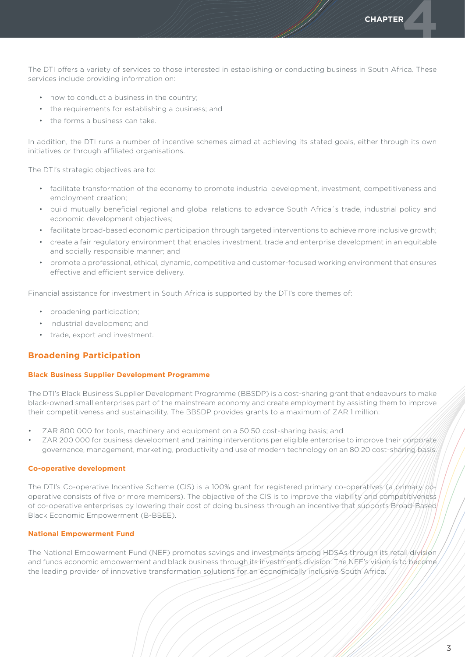**CHAPTER** 

The DTI offers a variety of services to those interested in establishing or conducting business in South Africa. These services include providing information on:

- how to conduct a business in the country;
- the requirements for establishing a business; and
- the forms a business can take.

In addition, the DTI runs a number of incentive schemes aimed at achieving its stated goals, either through its own initiatives or through affiliated organisations.

The DTI's strategic objectives are to:

- • facilitate transformation of the economy to promote industrial development, investment, competitiveness and employment creation;
- • build mutually beneficial regional and global relations to advance South Africa´s trade, industrial policy and economic development objectives;
- • facilitate broad-based economic participation through targeted interventions to achieve more inclusive growth;
- • create a fair regulatory environment that enables investment, trade and enterprise development in an equitable and socially responsible manner; and
- promote a professional, ethical, dynamic, competitive and customer-focused working environment that ensures effective and efficient service delivery.

Financial assistance for investment in South Africa is supported by the DTI's core themes of:

- broadening participation;
- • industrial development; and
- • trade, export and investment.

## **Broadening Participation**

### **Black Business Supplier Development Programme**

The DTI's Black Business Supplier Development Programme (BBSDP) is a cost-sharing grant that endeavours to make black-owned small enterprises part of the mainstream economy and create employment by assisting them to improve their competitiveness and sustainability. The BBSDP provides grants to a maximum of ZAR 1 million:

- ZAR 800 000 for tools, machinery and equipment on a 50:50 cost-sharing basis; and
- ZAR 200 000 for business development and training interventions per eligible enterprise to improve their corporate governance, management, marketing, productivity and use of modern technology on an 80:20 cost-sharing basis.

### **Co-operative development**

The DTI's Co-operative Incentive Scheme (CIS) is a 100% grant for registered primary co-operatives (a primary cooperative consists of five or more members). The objective of the CIS is to improve the viability and competitiveness of co-operative enterprises by lowering their cost of doing business through an incentive that supports Broad-Based Black Economic Empowerment (B-BBEE).

### **National Empowerment Fund**

The National Empowerment Fund (NEF) promotes savings and investments among HDSAs through its retail division and funds economic empowerment and black business through its investments division. The NEF's vision is to become the leading provider of innovative transformation solutions for an economically inclusive South Africa.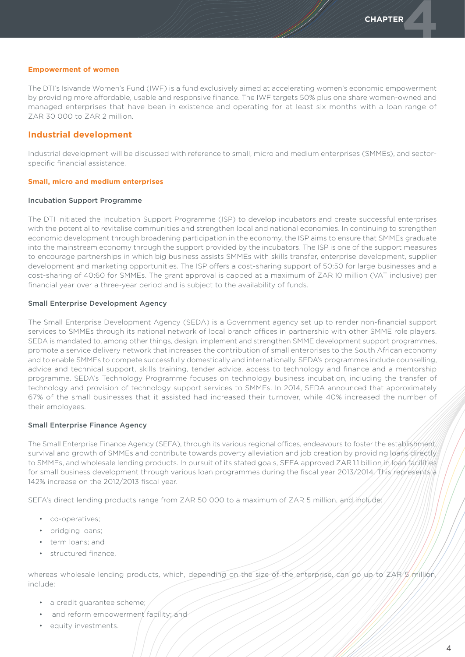### **Empowerment of women**

The DTI's Isivande Women's Fund (IWF) is a fund exclusively aimed at accelerating women's economic empowerment by providing more affordable, usable and responsive finance. The IWF targets 50% plus one share women-owned and managed enterprises that have been in existence and operating for at least six months with a loan range of ZAR 30 000 to ZAR 2 million.

### **Industrial development**

Industrial development will be discussed with reference to small, micro and medium enterprises (SMMEs), and sectorspecific financial assistance.

### **Small, micro and medium enterprises**

### Incubation Support Programme

The DTI initiated the Incubation Support Programme (ISP) to develop incubators and create successful enterprises with the potential to revitalise communities and strengthen local and national economies. In continuing to strengthen economic development through broadening participation in the economy, the ISP aims to ensure that SMMEs graduate into the mainstream economy through the support provided by the incubators. The ISP is one of the support measures to encourage partnerships in which big business assists SMMEs with skills transfer, enterprise development, supplier development and marketing opportunities. The ISP offers a cost-sharing support of 50:50 for large businesses and a cost-sharing of 40:60 for SMMEs. The grant approval is capped at a maximum of ZAR 10 million (VAT inclusive) per financial year over a three-year period and is subject to the availability of funds.

### Small Enterprise Development Agency

The Small Enterprise Development Agency (SEDA) is a Government agency set up to render non-financial support services to SMMEs through its national network of local branch offices in partnership with other SMME role players. SEDA is mandated to, among other things, design, implement and strengthen SMME development support programmes, promote a service delivery network that increases the contribution of small enterprises to the South African economy and to enable SMMEs to compete successfully domestically and internationally. SEDA's programmes include counselling, advice and technical support, skills training, tender advice, access to technology and finance and a mentorship programme. SEDA's Technology Programme focuses on technology business incubation, including the transfer of technology and provision of technology support services to SMMEs. In 2014, SEDA announced that approximately 67% of the small businesses that it assisted had increased their turnover, while 40% increased the number of their employees.

### Small Enterprise Finance Agency

The Small Enterprise Finance Agency (SEFA), through its various regional offices, endeavours to foster the establishment, survival and growth of SMMEs and contribute towards poverty alleviation and job creation by providing loans directly to SMMEs, and wholesale lending products. In pursuit of its stated goals, SEFA approved ZAR11 billion in loan facilities for small business development through various loan programmes during the fiscal year 2013/2014. This represents a 142% increase on the 2012/2013 fiscal year.

SEFA's direct lending products range from ZAR 50 000 to a maximum of ZAR 5 million, and include:

- co-operatives:
- bridging loans;
- • term loans; and
- structured finance,

whereas wholesale lending products, which, depending on the size of the enterprise, can go up to ZAR 5 million, include:

- a credit guarantee scheme;
- land reform empowerment facility; and
- • equity investments.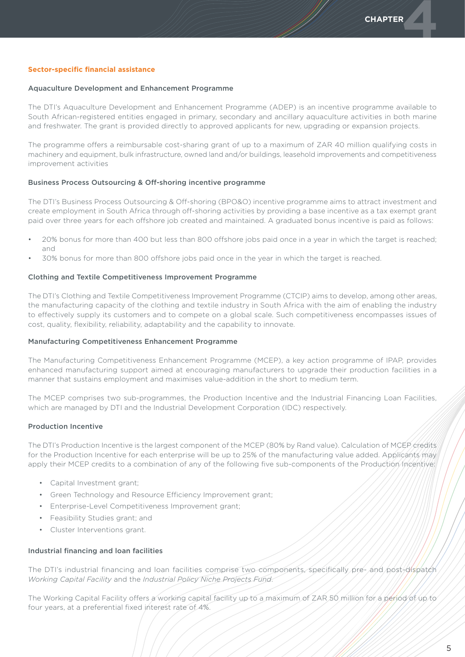### **Sector-specific financial assistance**

### Aquaculture Development and Enhancement Programme

The DTI's Aquaculture Development and Enhancement Programme (ADEP) is an incentive programme available to South African-registered entities engaged in primary, secondary and ancillary aquaculture activities in both marine and freshwater. The grant is provided directly to approved applicants for new, upgrading or expansion projects.

The programme offers a reimbursable cost-sharing grant of up to a maximum of ZAR 40 million qualifying costs in machinery and equipment, bulk infrastructure, owned land and/or buildings, leasehold improvements and competitiveness improvement activities

### Business Process Outsourcing & Off-shoring incentive programme

The DTI's Business Process Outsourcing & Off-shoring (BPO&O) incentive programme aims to attract investment and create employment in South Africa through off-shoring activities by providing a base incentive as a tax exempt grant paid over three years for each offshore job created and maintained. A graduated bonus incentive is paid as follows:

- 20% bonus for more than 400 but less than 800 offshore jobs paid once in a year in which the target is reached; and
- 30% bonus for more than 800 offshore jobs paid once in the year in which the target is reached.

### Clothing and Textile Competitiveness Improvement Programme

The DTI's Clothing and Textile Competitiveness Improvement Programme (CTCIP) aims to develop, among other areas, the manufacturing capacity of the clothing and textile industry in South Africa with the aim of enabling the industry to effectively supply its customers and to compete on a global scale. Such competitiveness encompasses issues of cost, quality, flexibility, reliability, adaptability and the capability to innovate.

### Manufacturing Competitiveness Enhancement Programme

The Manufacturing Competitiveness Enhancement Programme (MCEP), a key action programme of IPAP, provides enhanced manufacturing support aimed at encouraging manufacturers to upgrade their production facilities in a manner that sustains employment and maximises value-addition in the short to medium term.

The MCEP comprises two sub-programmes, the Production Incentive and the Industrial Financing Loan Facilities, which are managed by DTI and the Industrial Development Corporation (IDC) respectively.

### Production Incentive

The DTI's Production Incentive is the largest component of the MCEP (80% by Rand value). Calculation of MCEP credits for the Production Incentive for each enterprise will be up to 25% of the manufacturing value added. Applicants may apply their MCEP credits to a combination of any of the following five sub-components of the Production Incentive:

- • Capital Investment grant;
- Green Technology and Resource Efficiency Improvement grant;
- • Enterprise-Level Competitiveness Improvement grant;
- • Feasibility Studies grant; and
- Cluster Interventions grant.

### Industrial financing and loan facilities

The DTI's industrial financing and loan facilities comprise two components, specifically pre- and post-dispatch *Working Capital Facility* and the *Industrial Policy Niche Projects Fund*.

The Working Capital Facility offers a working capital facility up to a maximum of ZAR 50 million for a period of up to four years, at a preferential fixed interest rate of 4%.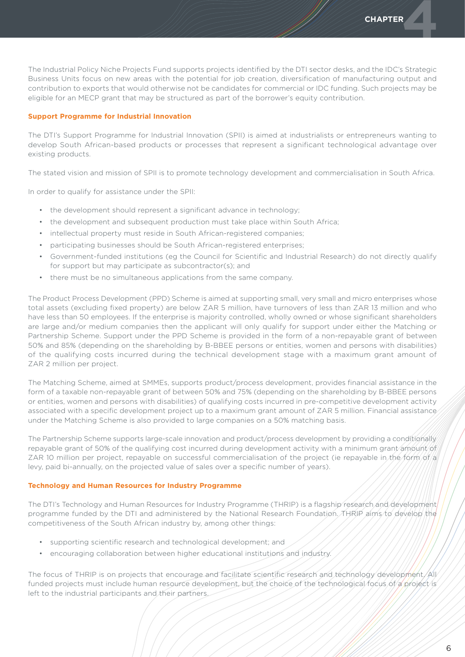The Industrial Policy Niche Projects Fund supports projects identified by the DTI sector desks, and the IDC's Strategic Business Units focus on new areas with the potential for job creation, diversification of manufacturing output and contribution to exports that would otherwise not be candidates for commercial or IDC funding. Such projects may be eligible for an MECP grant that may be structured as part of the borrower's equity contribution.

### **Support Programme for Industrial Innovation**

The DTI's Support Programme for Industrial Innovation (SPII) is aimed at industrialists or entrepreneurs wanting to develop South African-based products or processes that represent a significant technological advantage over existing products.

The stated vision and mission of SPII is to promote technology development and commercialisation in South Africa.

In order to qualify for assistance under the SPII:

- the development should represent a significant advance in technology;
- the development and subsequent production must take place within South Africa:
- intellectual property must reside in South African-registered companies;
- participating businesses should be South African-registered enterprises;
- Government-funded institutions (eg the Council for Scientific and Industrial Research) do not directly qualify for support but may participate as subcontractor(s); and
- there must be no simultaneous applications from the same company.

The Product Process Development (PPD) Scheme is aimed at supporting small, very small and micro enterprises whose total assets (excluding fixed property) are below ZAR 5 million, have turnovers of less than ZAR 13 million and who have less than 50 employees. If the enterprise is majority controlled, wholly owned or whose significant shareholders are large and/or medium companies then the applicant will only qualify for support under either the Matching or Partnership Scheme. Support under the PPD Scheme is provided in the form of a non-repayable grant of between 50% and 85% (depending on the shareholding by B-BBEE persons or entities, women and persons with disabilities) of the qualifying costs incurred during the technical development stage with a maximum grant amount of ZAR 2 million per project.

The Matching Scheme, aimed at SMMEs, supports product/process development, provides financial assistance in the form of a taxable non-repayable grant of between 50% and 75% (depending on the shareholding by B-BBEE persons or entities, women and persons with disabilities) of qualifying costs incurred in pre-competitive development activity associated with a specific development project up to a maximum grant amount of ZAR 5 million. Financial assistance under the Matching Scheme is also provided to large companies on a 50% matching basis.

The Partnership Scheme supports large-scale innovation and product/process development by providing a conditionally repayable grant of 50% of the qualifying cost incurred during development activity with a minimum grant amount of ZAR 10 million per project, repayable on successful commercialisation of the project (ie repayable in the form of a levy, paid bi-annually, on the projected value of sales over a specific number of years).

### **Technology and Human Resources for Industry Programme**

The DTI's Technology and Human Resources for Industry Programme (THRIP) is a flagship research and development programme funded by the DTI and administered by the National Research Foundation. THRIP aims to develop the competitiveness of the South African industry by, among other things:

- • supporting scientific research and technological development; and
- encouraging collaboration between higher educational institutions and industry.

The focus of THRIP is on projects that encourage and facilitate scientific research and technology development. All funded projects must include human resource development, but the choice of the technological focus of a project is left to the industrial participants and their partners.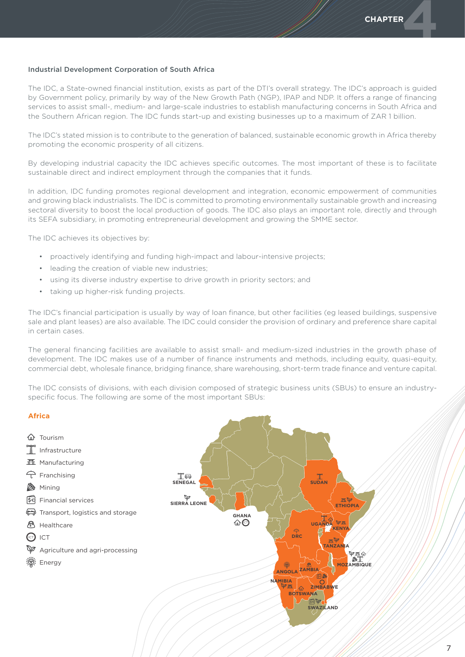### Industrial Development Corporation of South Africa

The IDC, a State-owned financial institution, exists as part of the DTI's overall strategy. The IDC's approach is guided by Government policy, primarily by way of the New Growth Path (NGP), IPAP and NDP. It offers a range of financing services to assist small-, medium- and large-scale industries to establish manufacturing concerns in South Africa and the Southern African region. The IDC funds start-up and existing businesses up to a maximum of ZAR 1 billion.

The IDC's stated mission is to contribute to the generation of balanced, sustainable economic growth in Africa thereby promoting the economic prosperity of all citizens.

By developing industrial capacity the IDC achieves specific outcomes. The most important of these is to facilitate sustainable direct and indirect employment through the companies that it funds.

In addition, IDC funding promotes regional development and integration, economic empowerment of communities and growing black industrialists. The IDC is committed to promoting environmentally sustainable growth and increasing sectoral diversity to boost the local production of goods. The IDC also plays an important role, directly and through its SEFA subsidiary, in promoting entrepreneurial development and growing the SMME sector.

The IDC achieves its objectives by:

- proactively identifying and funding high-impact and labour-intensive projects;
- leading the creation of viable new industries;
- using its diverse industry expertise to drive growth in priority sectors; and
- taking up higher-risk funding projects.

The IDC's financial participation is usually by way of loan finance, but other facilities (eg leased buildings, suspensive sale and plant leases) are also available. The IDC could consider the provision of ordinary and preference share capital in certain cases.

The general financing facilities are available to assist small- and medium-sized industries in the growth phase of development. The IDC makes use of a number of finance instruments and methods, including equity, quasi-equity, commercial debt, wholesale finance, bridging finance, share warehousing, short-term trade finance and venture capital.

The IDC consists of divisions, with each division composed of strategic business units (SBUs) to ensure an industryspecific focus. The following are some of the most important SBUs:

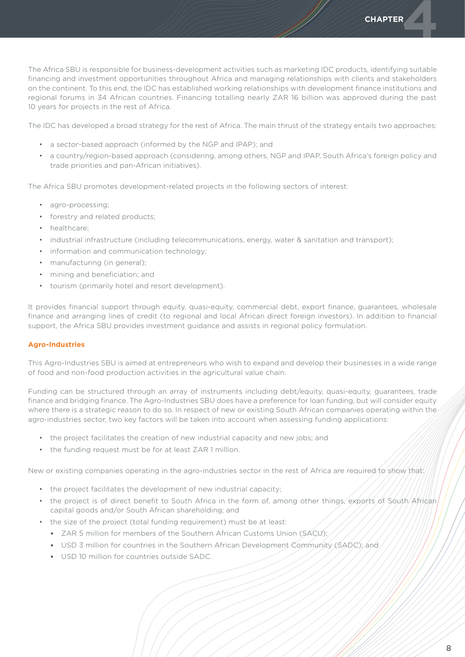The Africa SBU is responsible for business-development activities such as marketing IDC products, identifying suitable financing and investment opportunities throughout Africa and managing relationships with clients and stakeholders on the continent. To this end, the IDC has established working relationships with development finance institutions and regional forums in 34 African countries. Financing totalling nearly ZAR 16 billion was approved during the past 10 years for projects in the rest of Africa.

The IDC has developed a broad strategy for the rest of Africa. The main thrust of the strategy entails two approaches:

- • a sector-based approach (informed by the NGP and IPAP); and
- • a country/region-based approach (considering, among others, NGP and IPAP, South Africa's foreign policy and trade priorities and pan-African initiatives).

The Africa SBU promotes development-related projects in the following sectors of interest:

- agro-processing;
- forestry and related products;
- healthcare:
- industrial infrastructure (including telecommunications, energy, water & sanitation and transport);
- information and communication technology;
- manufacturing (in general);
- • mining and beneficiation; and
- tourism (primarily hotel and resort development).

It provides financial support through equity, quasi-equity, commercial debt, export finance, guarantees, wholesale finance and arranging lines of credit (to regional and local African direct foreign investors). In addition to financial support, the Africa SBU provides investment guidance and assists in regional policy formulation.

# **Agro-Industries**

This Agro-Industries SBU is aimed at entrepreneurs who wish to expand and develop their businesses in a wide range of food and non-food production activities in the agricultural value chain.

Funding can be structured through an array of instruments including debt/equity, quasi-equity, guarantees, trade finance and bridging finance. The Agro-Industries SBU does have a preference for loan funding, but will consider equity where there is a strategic reason to do so. In respect of new or existing South African companies operating within the agro-industries sector, two key factors will be taken into account when assessing funding applications:

- the project facilitates the creation of new industrial capacity and new jobs; and
- the funding request must be for at least ZAR 1 million.

New or existing companies operating in the agro-industries sector in the rest of Africa are required to show that:

- the project facilitates the development of new industrial capacity;
- the project is of direct benefit to South Africa in the form of, among other things, exports of South African capital goods and/or South African shareholding; and
- the size of the project (total funding requirement) must be at least:
	- ZAR 5 million for members of the Southern African Customs Union (SACU);
	- USD 3 million for countries in the Southern African Development Community (SADC); and
	- • USD 10 million for countries outside SADC.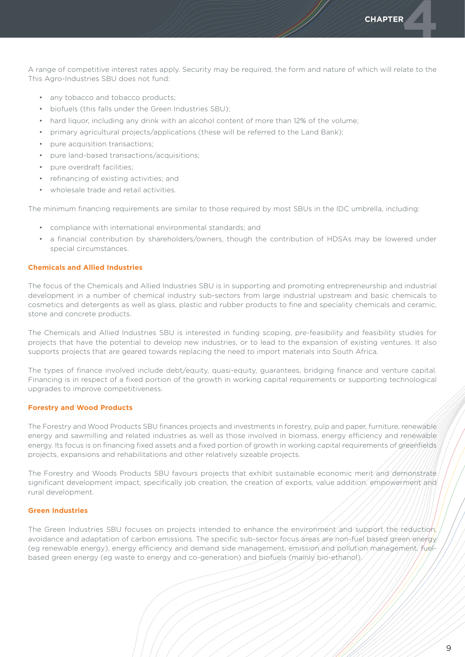A range of competitive interest rates apply. Security may be required, the form and nature of which will relate to the This Agro-Industries SBU does not fund:

- any tobacco and tobacco products;
- • biofuels (this falls under the Green Industries SBU);
- hard liquor, including any drink with an alcohol content of more than 12% of the volume;
- primary agricultural projects/applications (these will be referred to the Land Bank);
- pure acquisition transactions;
- pure land-based transactions/acquisitions;
- pure overdraft facilities;
- • refinancing of existing activities; and
- wholesale trade and retail activities.

The minimum financing requirements are similar to those required by most SBUs in the IDC umbrella, including:

- • compliance with international environmental standards; and
- • a financial contribution by shareholders/owners, though the contribution of HDSAs may be lowered under special circumstances.

### **Chemicals and Allied Industries**

The focus of the Chemicals and Allied Industries SBU is in supporting and promoting entrepreneurship and industrial development in a number of chemical industry sub-sectors from large industrial upstream and basic chemicals to cosmetics and detergents as well as glass, plastic and rubber products to fine and speciality chemicals and ceramic, stone and concrete products.

The Chemicals and Allied Industries SBU is interested in funding scoping, pre-feasibility and feasibility studies for projects that have the potential to develop new industries, or to lead to the expansion of existing ventures. It also supports projects that are geared towards replacing the need to import materials into South Africa.

The types of finance involved include debt/equity, quasi-equity, guarantees, bridging finance and venture capital. Financing is in respect of a fixed portion of the growth in working capital requirements or supporting technological upgrades to improve competitiveness.

### **Forestry and Wood Products**

The Forestry and Wood Products SBU finances projects and investments in forestry, pulp and paper, furniture, renewable energy and sawmilling and related industries as well as those involved in biomass, energy efficiency and renewable energy. Its focus is on financing fixed assets and a fixed portion of growth in working capital requirements of greenfields projects, expansions and rehabilitations and other relatively sizeable projects.

The Forestry and Woods Products SBU favours projects that exhibit sustainable economic merit and demonstrate significant development impact, specifically job creation, the creation of exports, value addition, empowerment and rural development.

### **Green Industries**

The Green Industries SBU focuses on projects intended to enhance the environment and support the reduction, avoidance and adaptation of carbon emissions. The specific sub-sector focus areas are non-fuel based green/energy (eg renewable energy), energy efficiency and demand side management, emission and pollution management, fuelbased green energy (eg waste to energy and co-generation) and biofuels (mainly bio-ethanol).

**CHAPTER**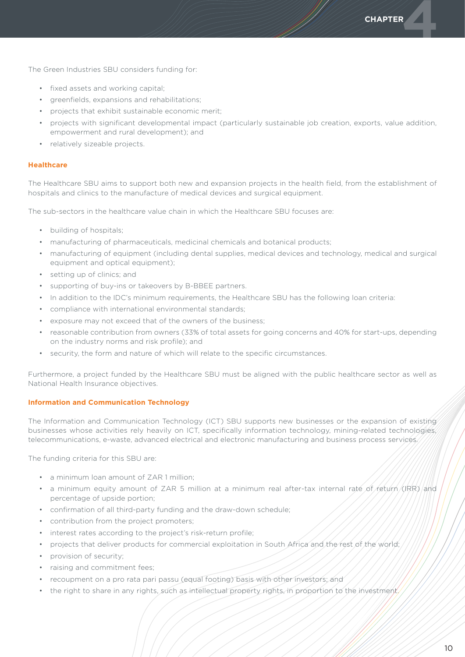**CHAPTER** 

The Green Industries SBU considers funding for:

- fixed assets and working capital;
- • greenfields, expansions and rehabilitations;
- • projects that exhibit sustainable economic merit;
- • projects with significant developmental impact (particularly sustainable job creation, exports, value addition, empowerment and rural development); and
- relatively sizeable projects.

### **Healthcare**

The Healthcare SBU aims to support both new and expansion projects in the health field, from the establishment of hospitals and clinics to the manufacture of medical devices and surgical equipment.

The sub-sectors in the healthcare value chain in which the Healthcare SBU focuses are:

- • building of hospitals;
- manufacturing of pharmaceuticals, medicinal chemicals and botanical products;
- • manufacturing of equipment (including dental supplies, medical devices and technology, medical and surgical equipment and optical equipment);
- • setting up of clinics; and
- supporting of buy-ins or takeovers by B-BBEE partners.
- In addition to the IDC's minimum requirements, the Healthcare SBU has the following loan criteria:
- • compliance with international environmental standards;
- • exposure may not exceed that of the owners of the business;
- reasonable contribution from owners (33% of total assets for going concerns and 40% for start-ups, depending on the industry norms and risk profile); and
- • security, the form and nature of which will relate to the specific circumstances.

Furthermore, a project funded by the Healthcare SBU must be aligned with the public healthcare sector as well as National Health Insurance objectives.

### **Information and Communication Technology**

The Information and Communication Technology (ICT) SBU supports new businesses or the expansion of existing businesses whose activities rely heavily on ICT, specifically information technology, mining-related technologies, telecommunications, e-waste, advanced electrical and electronic manufacturing and business process services.

The funding criteria for this SBU are:

- a minimum loan amount of ZAR 1 million;
- a minimum equity amount of ZAR 5 million at a minimum real after-tax internal rate of return (IRR) and percentage of upside portion;
- confirmation of all third-party funding and the draw-down schedule;
- contribution from the project promoters;
- interest rates according to the project's risk-return profile;
- projects that deliver products for commercial exploitation in South Africa and the rest of the world;
- provision of security;
- • raising and commitment fees;
- recoupment on a pro rata pari passu (equal footing) basis with other investors; and
- the right to share in any rights, such as intellectual property rights, in proportion to the investment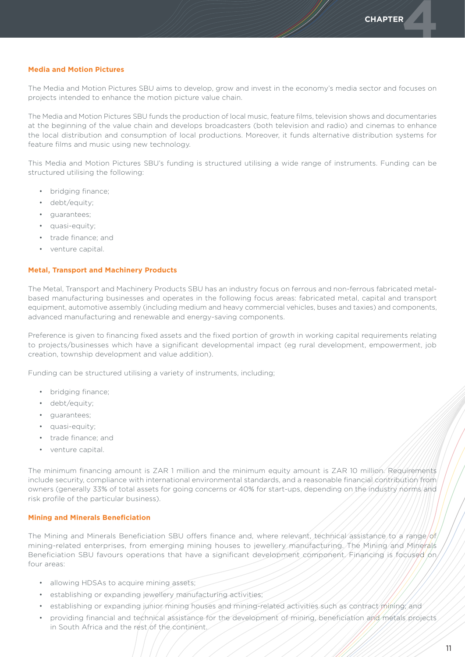### **Media and Motion Pictures**

The Media and Motion Pictures SBU aims to develop, grow and invest in the economy's media sector and focuses on projects intended to enhance the motion picture value chain.

The Media and Motion Pictures SBU funds the production of local music, feature films, television shows and documentaries at the beginning of the value chain and develops broadcasters (both television and radio) and cinemas to enhance the local distribution and consumption of local productions. Moreover, it funds alternative distribution systems for feature films and music using new technology.

This Media and Motion Pictures SBU's funding is structured utilising a wide range of instruments. Funding can be structured utilising the following:

- bridging finance;
- debt/equity;
- • guarantees;
- quasi-equity;
- • trade finance; and
- • venture capital.

### **Metal, Transport and Machinery Products**

The Metal, Transport and Machinery Products SBU has an industry focus on ferrous and non-ferrous fabricated metalbased manufacturing businesses and operates in the following focus areas: fabricated metal, capital and transport equipment, automotive assembly (including medium and heavy commercial vehicles, buses and taxies) and components, advanced manufacturing and renewable and energy-saving components.

Preference is given to financing fixed assets and the fixed portion of growth in working capital requirements relating to projects/businesses which have a significant developmental impact (eg rural development, empowerment, job creation, township development and value addition).

Funding can be structured utilising a variety of instruments, including;

- • bridging finance;
- debt/equity;
- • guarantees;
- quasi-equity;
- trade finance; and
- • venture capital.

The minimum financing amount is ZAR 1 million and the minimum equity amount is ZAR 10 million. Requirements include security, compliance with international environmental standards, and a reasonable financial contribution from owners (generally 33% of total assets for going concerns or 40% for start-ups, depending on the industry norms and risk profile of the particular business).

### **Mining and Minerals Beneficiation**

The Mining and Minerals Beneficiation SBU offers finance and, where relevant, technical assistance to a range/of mining-related enterprises, from emerging mining houses to jewellery manufacturing. The Mining and Minerals Beneficiation SBU favours operations that have a significant development component. Financing is focused on four areas:

- allowing HDSAs to acquire mining assets;
- establishing or expanding jewellery manufacturing activities;
- establishing or expanding junior mining houses and mining-related activities such as contract mining; and
- providing financial and technical assistance for the development of mining, beneficiation and metals projects in South Africa and the rest of the continent.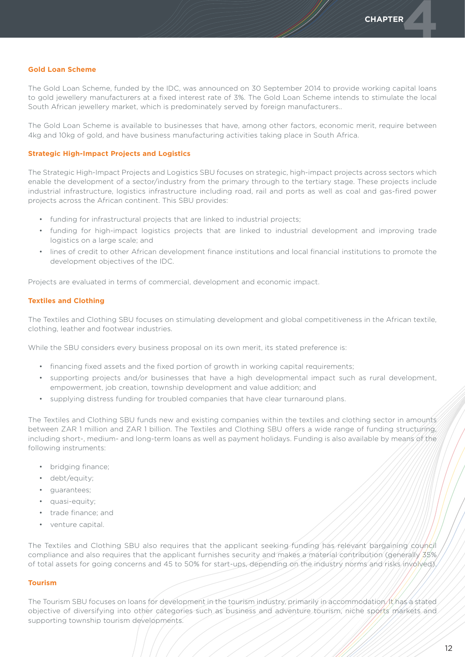### **Gold Loan Scheme**

The Gold Loan Scheme, funded by the IDC, was announced on 30 September 2014 to provide working capital loans to gold jewellery manufacturers at a fixed interest rate of 3%. The Gold Loan Scheme intends to stimulate the local South African jewellery market, which is predominately served by foreign manufacturers..

The Gold Loan Scheme is available to businesses that have, among other factors, economic merit, require between 4kg and 10kg of gold, and have business manufacturing activities taking place in South Africa.

### **Strategic High-Impact Projects and Logistics**

The Strategic High-Impact Projects and Logistics SBU focuses on strategic, high-impact projects across sectors which enable the development of a sector/industry from the primary through to the tertiary stage. These projects include industrial infrastructure, logistics infrastructure including road, rail and ports as well as coal and gas-fired power projects across the African continent. This SBU provides:

- funding for infrastructural projects that are linked to industrial projects;
- • funding for high-impact logistics projects that are linked to industrial development and improving trade logistics on a large scale; and
- • lines of credit to other African development finance institutions and local financial institutions to promote the development objectives of the IDC.

Projects are evaluated in terms of commercial, development and economic impact.

### **Textiles and Clothing**

The Textiles and Clothing SBU focuses on stimulating development and global competitiveness in the African textile, clothing, leather and footwear industries.

While the SBU considers every business proposal on its own merit, its stated preference is:

- • financing fixed assets and the fixed portion of growth in working capital requirements;
- • supporting projects and/or businesses that have a high developmental impact such as rural development, empowerment, job creation, township development and value addition; and
- supplying distress funding for troubled companies that have clear turnaround plans.

The Textiles and Clothing SBU funds new and existing companies within the textiles and clothing sector in amounts between ZAR 1 million and ZAR 1 billion. The Textiles and Clothing SBU offers a wide range of funding structuring, including short-, medium- and long-term loans as well as payment holidays. Funding is also available by means of the following instruments:

- bridging finance:
- debt/equity;
- • guarantees;
- quasi-equity;
- • trade finance; and
- • venture capital.

The Textiles and Clothing SBU also requires that the applicant seeking funding has relevant bargaining council compliance and also requires that the applicant furnishes security and makes a material contribution (generally 35%) of total assets for going concerns and 45 to 50% for start-ups, depending on the industry norms and risks involved).

### **Tourism**

The Tourism SBU focuses on loans for development in the tourism industry, primarily in accommodation. It has a stated objective of diversifying into other categories such as business and adventure tourism, niche sports markets and supporting township tourism developments.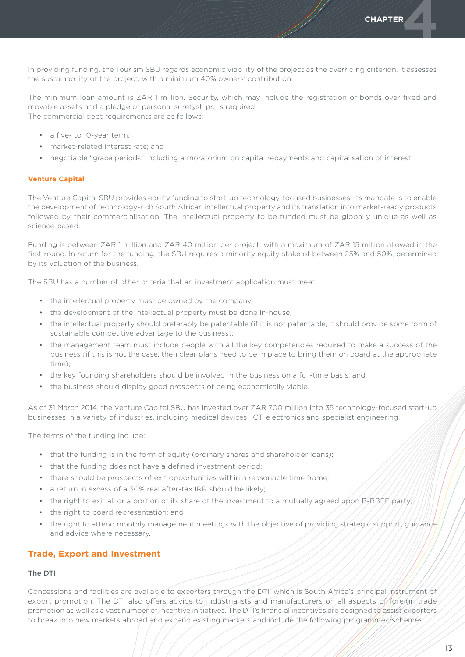**CHAPTER** 

In providing funding, the Tourism SBU regards economic viability of the project as the overriding criterion. It assesses the sustainability of the project, with a minimum 40% owners' contribution.

The minimum loan amount is ZAR 1 million. Security, which may include the registration of bonds over fixed and movable assets and a pledge of personal suretyships, is required. The commercial debt requirements are as follows:

- a five- to 10-year term;
- market-related interest rate; and
- • negotiable "grace periods" including a moratorium on capital repayments and capitalisation of interest.

### **Venture Capital**

The Venture Capital SBU provides equity funding to start-up technology-focused businesses. Its mandate is to enable the development of technology-rich South African intellectual property and its translation into market-ready products followed by their commercialisation. The intellectual property to be funded must be globally unique as well as science-based.

Funding is between ZAR 1 million and ZAR 40 million per project, with a maximum of ZAR 15 million allowed in the first round. In return for the funding, the SBU requires a minority equity stake of between 25% and 50%, determined by its valuation of the business.

The SBU has a number of other criteria that an investment application must meet:

- the intellectual property must be owned by the company;
- the development of the intellectual property must be done in-house:
- • the intellectual property should preferably be patentable (if it is not patentable, it should provide some form of sustainable competitive advantage to the business);
- • the management team must include people with all the key competencies required to make a success of the business (if this is not the case, then clear plans need to be in place to bring them on board at the appropriate time);
- • the key founding shareholders should be involved in the business on a full-time basis; and
- the business should display good prospects of being economically viable.

As of 31 March 2014, the Venture Capital SBU has invested over ZAR 700 million into 35 technology-focused start-up businesses in a variety of industries, including medical devices, ICT, electronics and specialist engineering.

The terms of the funding include:

- that the funding is in the form of equity (ordinary shares and shareholder loans);
- that the funding does not have a defined investment period;
- there should be prospects of exit opportunities within a reasonable time frame;
- a return in excess of a 30% real after-tax IRR should be likely;
- the right to exit all or a portion of its share of the investment to a mutually agreed upon B-BBEE party;
- the right to board representation; and
- the right to attend monthly management meetings with the objective of providing strategic support, guidance and advice where necessary.

# **Trade, Export and Investment**

### The DTI

Concessions and facilities are available to exporters through the DTI, which is South Africa's principal instrument of export promotion. The DTI also offers advice to industrialists and manufacturers on all aspects of foreign trade promotion as well as a vast number of incentive initiatives. The DTI's financial incentives are designed to assist exporters to break into new markets abroad and expand existing markets and include the following programmes/schemes.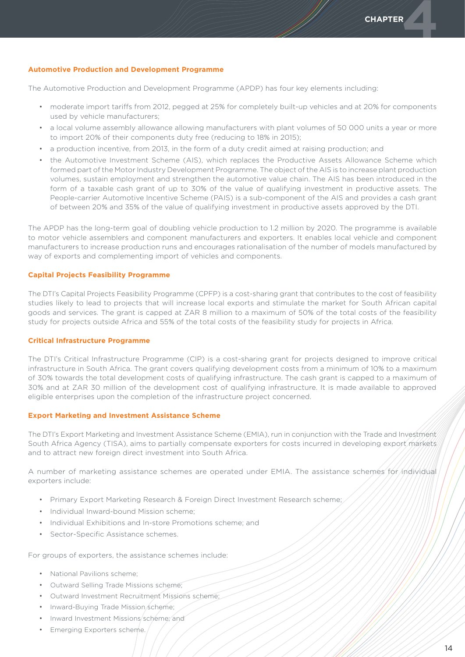### **Automotive Production and Development Programme**

The Automotive Production and Development Programme (APDP) has four key elements including:

- • moderate import tariffs from 2012, pegged at 25% for completely built-up vehicles and at 20% for components used by vehicle manufacturers;
- • a local volume assembly allowance allowing manufacturers with plant volumes of 50 000 units a year or more to import 20% of their components duty free (reducing to 18% in 2015);
- a production incentive, from 2013, in the form of a duty credit aimed at raising production; and
- the Automotive Investment Scheme (AIS), which replaces the Productive Assets Allowance Scheme which formed part of the Motor Industry Development Programme. The object of the AIS is to increase plant production volumes, sustain employment and strengthen the automotive value chain. The AIS has been introduced in the form of a taxable cash grant of up to 30% of the value of qualifying investment in productive assets. The People-carrier Automotive Incentive Scheme (PAIS) is a sub-component of the AIS and provides a cash grant of between 20% and 35% of the value of qualifying investment in productive assets approved by the DTI.

The APDP has the long-term goal of doubling vehicle production to 1.2 million by 2020. The programme is available to motor vehicle assemblers and component manufacturers and exporters. It enables local vehicle and component manufacturers to increase production runs and encourages rationalisation of the number of models manufactured by way of exports and complementing import of vehicles and components.

### **Capital Projects Feasibility Programme**

The DTI's Capital Projects Feasibility Programme (CPFP) is a cost-sharing grant that contributes to the cost of feasibility studies likely to lead to projects that will increase local exports and stimulate the market for South African capital goods and services. The grant is capped at ZAR 8 million to a maximum of 50% of the total costs of the feasibility study for projects outside Africa and 55% of the total costs of the feasibility study for projects in Africa.

### **Critical Infrastructure Programme**

The DTI's Critical Infrastructure Programme (CIP) is a cost-sharing grant for projects designed to improve critical infrastructure in South Africa. The grant covers qualifying development costs from a minimum of 10% to a maximum of 30% towards the total development costs of qualifying infrastructure. The cash grant is capped to a maximum of 30% and at ZAR 30 million of the development cost of qualifying infrastructure. It is made available to approved eligible enterprises upon the completion of the infrastructure project concerned.

### **Export Marketing and Investment Assistance Scheme**

The DTI's Export Marketing and Investment Assistance Scheme (EMIA), run in conjunction with the Trade and Investment South Africa Agency (TISA), aims to partially compensate exporters for costs incurred in developing export markets and to attract new foreign direct investment into South Africa.

A number of marketing assistance schemes are operated under EMIA. The assistance schemes for individual exporters include:

- Primary Export Marketing Research & Foreign Direct Investment Research scheme;
- Individual Inward-bound Mission scheme:
- Individual Exhibitions and In-store Promotions scheme; and
- Sector-Specific Assistance schemes.

For groups of exporters, the assistance schemes include:

- National Pavilions scheme;
- • Outward Selling Trade Missions scheme;
- • Outward Investment Recruitment Missions scheme;
- Inward-Buying Trade Mission scheme;
- Inward Investment Missions/scheme; and
- **Emerging Exporters scheme.**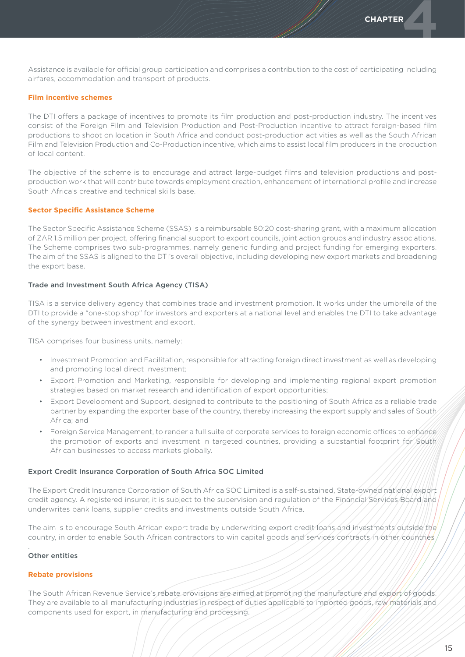Assistance is available for official group participation and comprises a contribution to the cost of participating including airfares, accommodation and transport of products.

### **Film incentive schemes**

The DTI offers a package of incentives to promote its film production and post-production industry. The incentives consist of the Foreign Film and Television Production and Post-Production incentive to attract foreign-based film productions to shoot on location in South Africa and conduct post-production activities as well as the South African Film and Television Production and Co-Production incentive, which aims to assist local film producers in the production of local content.

The objective of the scheme is to encourage and attract large-budget films and television productions and postproduction work that will contribute towards employment creation, enhancement of international profile and increase South Africa's creative and technical skills base.

### **Sector Specific Assistance Scheme**

The Sector Specific Assistance Scheme (SSAS) is a reimbursable 80:20 cost-sharing grant, with a maximum allocation of ZAR 1.5 million per project, offering financial support to export councils, joint action groups and industry associations. The Scheme comprises two sub-programmes, namely generic funding and project funding for emerging exporters. The aim of the SSAS is aligned to the DTI's overall objective, including developing new export markets and broadening the export base.

### Trade and Investment South Africa Agency (TISA)

TISA is a service delivery agency that combines trade and investment promotion. It works under the umbrella of the DTI to provide a "one-stop shop" for investors and exporters at a national level and enables the DTI to take advantage of the synergy between investment and export.

TISA comprises four business units, namely:

- • Investment Promotion and Facilitation, responsible for attracting foreign direct investment as well as developing and promoting local direct investment;
- • Export Promotion and Marketing, responsible for developing and implementing regional export promotion strategies based on market research and identification of export opportunities;
- Export Development and Support, designed to contribute to the positioning of South Africa as a reliable trade partner by expanding the exporter base of the country, thereby increasing the export supply and sales of South Africa; and
- Foreign Service Management, to render a full suite of corporate services to foreign economic offices to enhance the promotion of exports and investment in targeted countries, providing a substantial footprint for South African businesses to access markets globally.

### Export Credit Insurance Corporation of South Africa SOC Limited

The Export Credit Insurance Corporation of South Africa SOC Limited is a self-sustained, State-owned national export credit agency. A registered insurer, it is subject to the supervision and regulation of the Financial Services Board and underwrites bank loans, supplier credits and investments outside South Africa.

The aim is to encourage South African export trade by underwriting export credit loans and investments outside the country, in order to enable South African contractors to win capital goods and services contracts in other countries

### Other entities

.

### **Rebate provisions**

The South African Revenue Service's rebate provisions are aimed at promoting the manufacture and export of goods. They are available to all manufacturing industries in respect of duties applicable to imported goods, raw materials and components used for export, in manufacturing and processing.